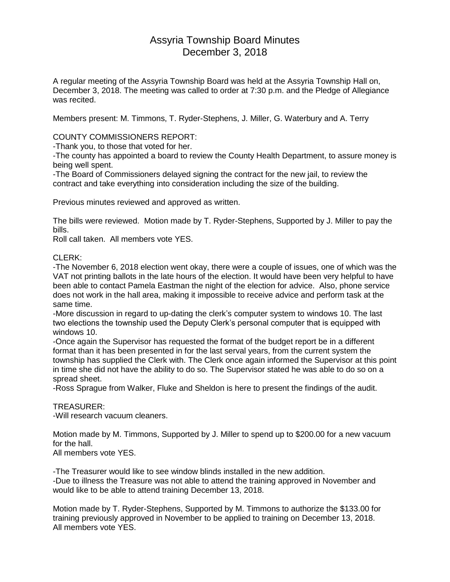# Assyria Township Board Minutes December 3, 2018

A regular meeting of the Assyria Township Board was held at the Assyria Township Hall on, December 3, 2018. The meeting was called to order at 7:30 p.m. and the Pledge of Allegiance was recited.

Members present: M. Timmons, T. Ryder-Stephens, J. Miller, G. Waterbury and A. Terry

# COUNTY COMMISSIONERS REPORT:

-Thank you, to those that voted for her.

-The county has appointed a board to review the County Health Department, to assure money is being well spent.

-The Board of Commissioners delayed signing the contract for the new jail, to review the contract and take everything into consideration including the size of the building.

Previous minutes reviewed and approved as written.

The bills were reviewed. Motion made by T. Ryder-Stephens, Supported by J. Miller to pay the bills.

Roll call taken. All members vote YES.

# CLERK:

-The November 6, 2018 election went okay, there were a couple of issues, one of which was the VAT not printing ballots in the late hours of the election. It would have been very helpful to have been able to contact Pamela Eastman the night of the election for advice. Also, phone service does not work in the hall area, making it impossible to receive advice and perform task at the same time.

-More discussion in regard to up-dating the clerk's computer system to windows 10. The last two elections the township used the Deputy Clerk's personal computer that is equipped with windows 10.

-Once again the Supervisor has requested the format of the budget report be in a different format than it has been presented in for the last serval years, from the current system the township has supplied the Clerk with. The Clerk once again informed the Supervisor at this point in time she did not have the ability to do so. The Supervisor stated he was able to do so on a spread sheet.

-Ross Sprague from Walker, Fluke and Sheldon is here to present the findings of the audit.

#### TREASURER:

-Will research vacuum cleaners.

Motion made by M. Timmons, Supported by J. Miller to spend up to \$200.00 for a new vacuum for the hall.

All members vote YES.

-The Treasurer would like to see window blinds installed in the new addition. -Due to illness the Treasure was not able to attend the training approved in November and would like to be able to attend training December 13, 2018.

Motion made by T. Ryder-Stephens, Supported by M. Timmons to authorize the \$133.00 for training previously approved in November to be applied to training on December 13, 2018. All members vote YES.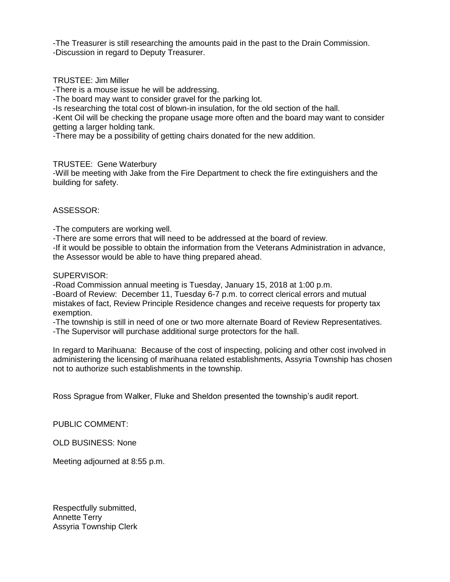-The Treasurer is still researching the amounts paid in the past to the Drain Commission. -Discussion in regard to Deputy Treasurer.

### TRUSTEE: Jim Miller

-There is a mouse issue he will be addressing.

-The board may want to consider gravel for the parking lot.

-Is researching the total cost of blown-in insulation, for the old section of the hall.

-Kent Oil will be checking the propane usage more often and the board may want to consider getting a larger holding tank.

-There may be a possibility of getting chairs donated for the new addition.

#### TRUSTEE: Gene Waterbury

-Will be meeting with Jake from the Fire Department to check the fire extinguishers and the building for safety.

# ASSESSOR:

-The computers are working well.

-There are some errors that will need to be addressed at the board of review.

-If it would be possible to obtain the information from the Veterans Administration in advance, the Assessor would be able to have thing prepared ahead.

#### SUPERVISOR:

-Road Commission annual meeting is Tuesday, January 15, 2018 at 1:00 p.m. -Board of Review: December 11, Tuesday 6-7 p.m. to correct clerical errors and mutual mistakes of fact, Review Principle Residence changes and receive requests for property tax exemption.

-The township is still in need of one or two more alternate Board of Review Representatives. -The Supervisor will purchase additional surge protectors for the hall.

In regard to Marihuana: Because of the cost of inspecting, policing and other cost involved in administering the licensing of marihuana related establishments, Assyria Township has chosen not to authorize such establishments in the township.

Ross Sprague from Walker, Fluke and Sheldon presented the township's audit report.

PUBLIC COMMENT:

OLD BUSINESS: None

Meeting adjourned at 8:55 p.m.

Respectfully submitted, Annette Terry Assyria Township Clerk